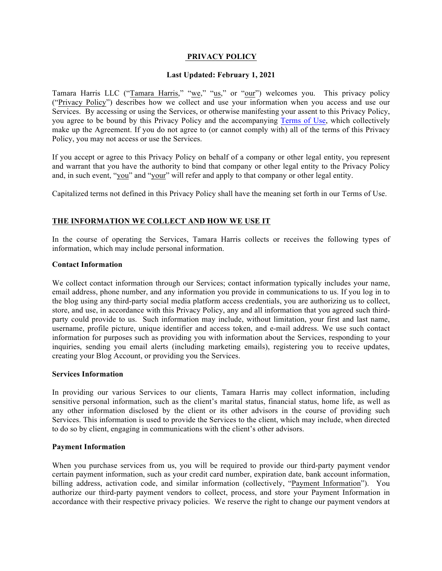# **PRIVACY POLICY**

#### **Last Updated: February 1, 2021**

Tamara Harris LLC ("Tamara Harris," "we," "us," or "our") welcomes you. This privacy policy ("Privacy Policy") describes how we collect and use your information when you access and use our Services. By accessing or using the Services, or otherwise manifesting your assent to this Privacy Policy, you agree to be bound by this Privacy Policy and the accompanying Terms of Use, which collectively make up the Agreement. If you do not agree to (or cannot comply with) all of the terms of this Privacy Policy, you may not access or use the Services.

If you accept or agree to this Privacy Policy on behalf of a company or other legal entity, you represent and warrant that you have the authority to bind that company or other legal entity to the Privacy Policy and, in such event, "you" and "your" will refer and apply to that company or other legal entity.

Capitalized terms not defined in this Privacy Policy shall have the meaning set forth in our Terms of Use.

# **THE INFORMATION WE COLLECT AND HOW WE USE IT**

In the course of operating the Services, Tamara Harris collects or receives the following types of information, which may include personal information.

#### **Contact Information**

We collect contact information through our Services; contact information typically includes your name, email address, phone number, and any information you provide in communications to us. If you log in to the blog using any third-party social media platform access credentials, you are authorizing us to collect, store, and use, in accordance with this Privacy Policy, any and all information that you agreed such thirdparty could provide to us. Such information may include, without limitation, your first and last name, username, profile picture, unique identifier and access token, and e-mail address. We use such contact information for purposes such as providing you with information about the Services, responding to your inquiries, sending you email alerts (including marketing emails), registering you to receive updates, creating your Blog Account, or providing you the Services.

# **Services Information**

In providing our various Services to our clients, Tamara Harris may collect information, including sensitive personal information, such as the client's marital status, financial status, home life, as well as any other information disclosed by the client or its other advisors in the course of providing such Services. This information is used to provide the Services to the client, which may include, when directed to do so by client, engaging in communications with the client's other advisors.

#### **Payment Information**

When you purchase services from us, you will be required to provide our third-party payment vendor certain payment information, such as your credit card number, expiration date, bank account information, billing address, activation code, and similar information (collectively, "Payment Information"). You authorize our third-party payment vendors to collect, process, and store your Payment Information in accordance with their respective privacy policies. We reserve the right to change our payment vendors at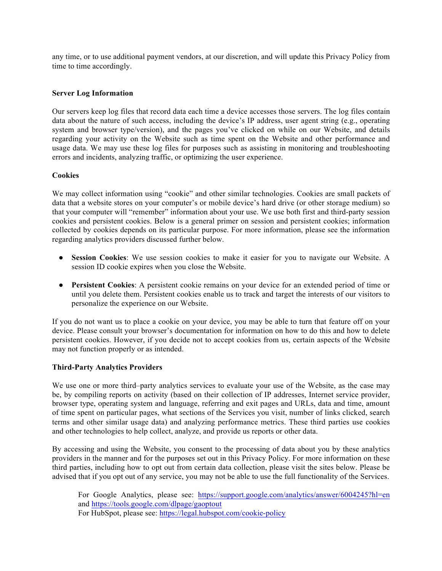any time, or to use additional payment vendors, at our discretion, and will update this Privacy Policy from time to time accordingly.

#### **Server Log Information**

Our servers keep log files that record data each time a device accesses those servers. The log files contain data about the nature of such access, including the device's IP address, user agent string (e.g., operating system and browser type/version), and the pages you've clicked on while on our Website, and details regarding your activity on the Website such as time spent on the Website and other performance and usage data. We may use these log files for purposes such as assisting in monitoring and troubleshooting errors and incidents, analyzing traffic, or optimizing the user experience.

#### **Cookies**

We may collect information using "cookie" and other similar technologies. Cookies are small packets of data that a website stores on your computer's or mobile device's hard drive (or other storage medium) so that your computer will "remember" information about your use. We use both first and third-party session cookies and persistent cookies. Below is a general primer on session and persistent cookies; information collected by cookies depends on its particular purpose. For more information, please see the information regarding analytics providers discussed further below.

- **Session Cookies**: We use session cookies to make it easier for you to navigate our Website. A session ID cookie expires when you close the Website.
- **Persistent Cookies**: A persistent cookie remains on your device for an extended period of time or until you delete them. Persistent cookies enable us to track and target the interests of our visitors to personalize the experience on our Website.

If you do not want us to place a cookie on your device, you may be able to turn that feature off on your device. Please consult your browser's documentation for information on how to do this and how to delete persistent cookies. However, if you decide not to accept cookies from us, certain aspects of the Website may not function properly or as intended.

#### **Third-Party Analytics Providers**

We use one or more third–party analytics services to evaluate your use of the Website, as the case may be, by compiling reports on activity (based on their collection of IP addresses, Internet service provider, browser type, operating system and language, referring and exit pages and URLs, data and time, amount of time spent on particular pages, what sections of the Services you visit, number of links clicked, search terms and other similar usage data) and analyzing performance metrics. These third parties use cookies and other technologies to help collect, analyze, and provide us reports or other data.

By accessing and using the Website, you consent to the processing of data about you by these analytics providers in the manner and for the purposes set out in this Privacy Policy. For more information on these third parties, including how to opt out from certain data collection, please visit the sites below. Please be advised that if you opt out of any service, you may not be able to use the full functionality of the Services.

For Google Analytics, please see: https://support.google.com/analytics/answer/6004245?hl=en and https://tools.google.com/dlpage/gaoptout For HubSpot, please see: https://legal.hubspot.com/cookie-policy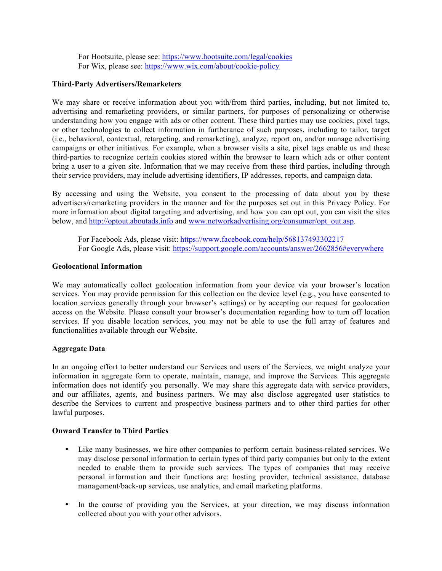For Hootsuite, please see: https://www.hootsuite.com/legal/cookies For Wix, please see: https://www.wix.com/about/cookie-policy

#### **Third-Party Advertisers/Remarketers**

We may share or receive information about you with/from third parties, including, but not limited to, advertising and remarketing providers, or similar partners, for purposes of personalizing or otherwise understanding how you engage with ads or other content. These third parties may use cookies, pixel tags, or other technologies to collect information in furtherance of such purposes, including to tailor, target (i.e., behavioral, contextual, retargeting, and remarketing), analyze, report on, and/or manage advertising campaigns or other initiatives. For example, when a browser visits a site, pixel tags enable us and these third-parties to recognize certain cookies stored within the browser to learn which ads or other content bring a user to a given site. Information that we may receive from these third parties, including through their service providers, may include advertising identifiers, IP addresses, reports, and campaign data.

By accessing and using the Website, you consent to the processing of data about you by these advertisers/remarketing providers in the manner and for the purposes set out in this Privacy Policy. For more information about digital targeting and advertising, and how you can opt out, you can visit the sites below, and http://optout.aboutads.info and www.networkadvertising.org/consumer/opt\_out.asp.

For Facebook Ads, please visit: https://www.facebook.com/help/568137493302217 For Google Ads, please visit: https://support.google.com/accounts/answer/2662856#everywhere

#### **Geolocational Information**

We may automatically collect geolocation information from your device via your browser's location services. You may provide permission for this collection on the device level (e.g., you have consented to location services generally through your browser's settings) or by accepting our request for geolocation access on the Website. Please consult your browser's documentation regarding how to turn off location services. If you disable location services, you may not be able to use the full array of features and functionalities available through our Website.

## **Aggregate Data**

In an ongoing effort to better understand our Services and users of the Services, we might analyze your information in aggregate form to operate, maintain, manage, and improve the Services. This aggregate information does not identify you personally. We may share this aggregate data with service providers, and our affiliates, agents, and business partners. We may also disclose aggregated user statistics to describe the Services to current and prospective business partners and to other third parties for other lawful purposes.

## **Onward Transfer to Third Parties**

- Like many businesses, we hire other companies to perform certain business-related services. We may disclose personal information to certain types of third party companies but only to the extent needed to enable them to provide such services. The types of companies that may receive personal information and their functions are: hosting provider, technical assistance, database management/back-up services, use analytics, and email marketing platforms.
- In the course of providing you the Services, at your direction, we may discuss information collected about you with your other advisors.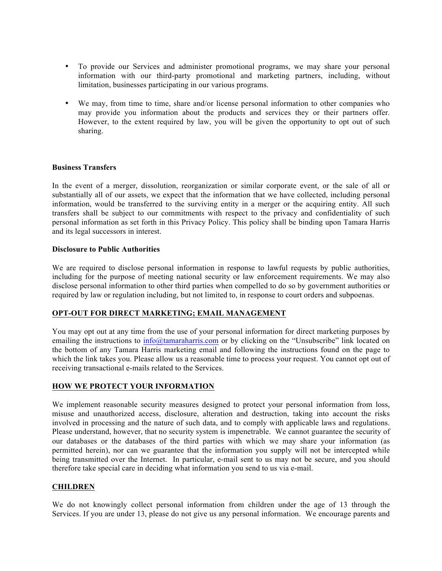- To provide our Services and administer promotional programs, we may share your personal information with our third-party promotional and marketing partners, including, without limitation, businesses participating in our various programs.
- We may, from time to time, share and/or license personal information to other companies who may provide you information about the products and services they or their partners offer. However, to the extent required by law, you will be given the opportunity to opt out of such sharing.

## **Business Transfers**

In the event of a merger, dissolution, reorganization or similar corporate event, or the sale of all or substantially all of our assets, we expect that the information that we have collected, including personal information, would be transferred to the surviving entity in a merger or the acquiring entity. All such transfers shall be subject to our commitments with respect to the privacy and confidentiality of such personal information as set forth in this Privacy Policy. This policy shall be binding upon Tamara Harris and its legal successors in interest.

#### **Disclosure to Public Authorities**

We are required to disclose personal information in response to lawful requests by public authorities, including for the purpose of meeting national security or law enforcement requirements. We may also disclose personal information to other third parties when compelled to do so by government authorities or required by law or regulation including, but not limited to, in response to court orders and subpoenas.

## **OPT-OUT FOR DIRECT MARKETING; EMAIL MANAGEMENT**

You may opt out at any time from the use of your personal information for direct marketing purposes by emailing the instructions to info@tamaraharris.com or by clicking on the "Unsubscribe" link located on the bottom of any Tamara Harris marketing email and following the instructions found on the page to which the link takes you. Please allow us a reasonable time to process your request. You cannot opt out of receiving transactional e-mails related to the Services.

## **HOW WE PROTECT YOUR INFORMATION**

We implement reasonable security measures designed to protect your personal information from loss, misuse and unauthorized access, disclosure, alteration and destruction, taking into account the risks involved in processing and the nature of such data, and to comply with applicable laws and regulations. Please understand, however, that no security system is impenetrable. We cannot guarantee the security of our databases or the databases of the third parties with which we may share your information (as permitted herein), nor can we guarantee that the information you supply will not be intercepted while being transmitted over the Internet. In particular, e-mail sent to us may not be secure, and you should therefore take special care in deciding what information you send to us via e-mail.

#### **CHILDREN**

We do not knowingly collect personal information from children under the age of 13 through the Services. If you are under 13, please do not give us any personal information. We encourage parents and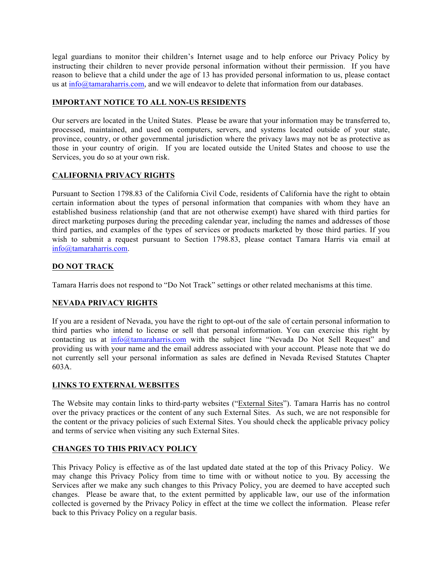legal guardians to monitor their children's Internet usage and to help enforce our Privacy Policy by instructing their children to never provide personal information without their permission. If you have reason to believe that a child under the age of 13 has provided personal information to us, please contact us at info@tamaraharris.com, and we will endeavor to delete that information from our databases.

# **IMPORTANT NOTICE TO ALL NON-US RESIDENTS**

Our servers are located in the United States. Please be aware that your information may be transferred to, processed, maintained, and used on computers, servers, and systems located outside of your state, province, country, or other governmental jurisdiction where the privacy laws may not be as protective as those in your country of origin. If you are located outside the United States and choose to use the Services, you do so at your own risk.

# **CALIFORNIA PRIVACY RIGHTS**

Pursuant to Section 1798.83 of the California Civil Code, residents of California have the right to obtain certain information about the types of personal information that companies with whom they have an established business relationship (and that are not otherwise exempt) have shared with third parties for direct marketing purposes during the preceding calendar year, including the names and addresses of those third parties, and examples of the types of services or products marketed by those third parties. If you wish to submit a request pursuant to Section 1798.83, please contact Tamara Harris via email at info@tamaraharris.com.

# **DO NOT TRACK**

Tamara Harris does not respond to "Do Not Track" settings or other related mechanisms at this time.

# **NEVADA PRIVACY RIGHTS**

If you are a resident of Nevada, you have the right to opt-out of the sale of certain personal information to third parties who intend to license or sell that personal information. You can exercise this right by contacting us at info@tamaraharris.com with the subject line "Nevada Do Not Sell Request" and providing us with your name and the email address associated with your account. Please note that we do not currently sell your personal information as sales are defined in Nevada Revised Statutes Chapter 603A.

## **LINKS TO EXTERNAL WEBSITES**

The Website may contain links to third-party websites ("External Sites"). Tamara Harris has no control over the privacy practices or the content of any such External Sites. As such, we are not responsible for the content or the privacy policies of such External Sites. You should check the applicable privacy policy and terms of service when visiting any such External Sites.

## **CHANGES TO THIS PRIVACY POLICY**

This Privacy Policy is effective as of the last updated date stated at the top of this Privacy Policy. We may change this Privacy Policy from time to time with or without notice to you. By accessing the Services after we make any such changes to this Privacy Policy, you are deemed to have accepted such changes. Please be aware that, to the extent permitted by applicable law, our use of the information collected is governed by the Privacy Policy in effect at the time we collect the information. Please refer back to this Privacy Policy on a regular basis.